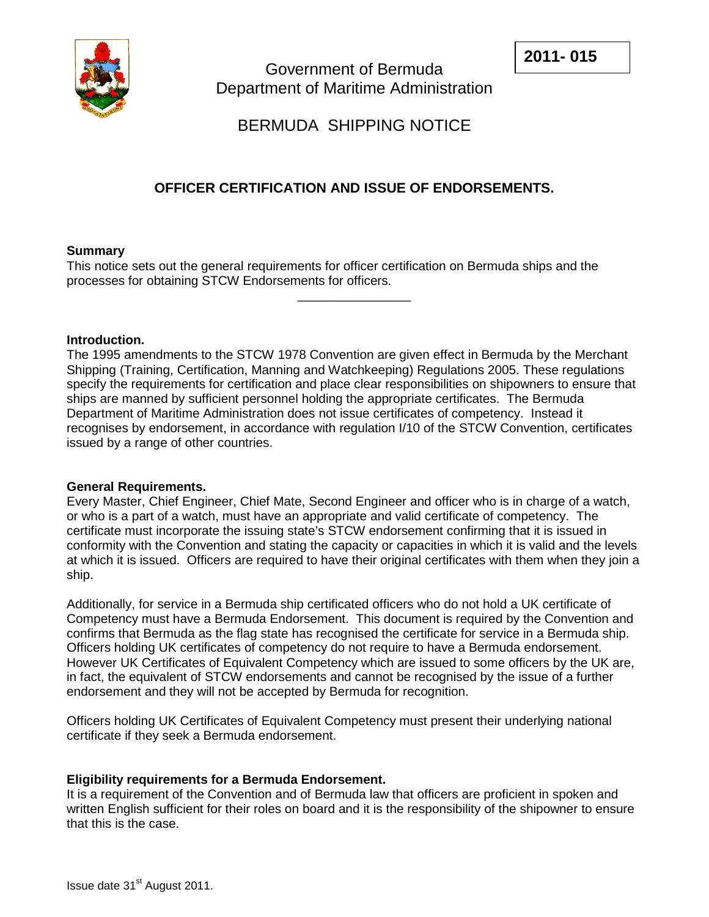

# BERMUDA SHIPPING NOTICE

# **OFFICER CERTIFICATION AND ISSUE OF ENDORSEMENTS.**

 $\overline{\phantom{a}}$  , where  $\overline{\phantom{a}}$ 

# **Summary**

This notice sets out the general requirements for officer certification on Bermuda ships and the processes for obtaining STCW Endorsements for officers.

# **Introduction.**

The 1995 amendments to the STCW 1978 Convention are given effect in Bermuda by the Merchant Shipping (Training, Certification, Manning and Watchkeeping) Regulations 2005. These regulations specify the requirements for certification and place clear responsibilities on shipowners to ensure that ships are manned by sufficient personnel holding the appropriate certificates. The Bermuda Department of Maritime Administration does not issue certificates of competency. Instead it recognises by endorsement, in accordance with regulation I/10 of the STCW Convention, certificates issued by a range of other countries.

#### **General Requirements.**

Every Master, Chief Engineer, Chief Mate, Second Engineer and officer who is in charge of a watch, or who is a part of a watch, must have an appropriate and valid certificate of competency. The certificate must incorporate the issuing state's STCW endorsement confirming that it is issued in conformity with the Convention and stating the capacity or capacities in which it is valid and the levels at which it is issued. Officers are required to have their original certificates with them when they join a ship.

Additionally, for service in a Bermuda ship certificated officers who do not hold a UK certificate of Competency must have a Bermuda Endorsement. This document is required by the Convention and confirms that Bermuda as the flag state has recognised the certificate for service in a Bermuda ship. Officers holding UK certificates of competency do not require to have a Bermuda endorsement. However UK Certificates of Equivalent Competency which are issued to some officers by the UK are, in fact, the equivalent of STCW endorsements and cannot be recognised by the issue of a further endorsement and they will not be accepted by Bermuda for recognition.

Officers holding UK Certificates of Equivalent Competency must present their underlying national certificate if they seek a Bermuda endorsement.

# **Eligibility requirements for a Bermuda Endorsement.**

It is a requirement of the Convention and of Bermuda law that officers are proficient in spoken and written English sufficient for their roles on board and it is the responsibility of the shipowner to ensure that this is the case.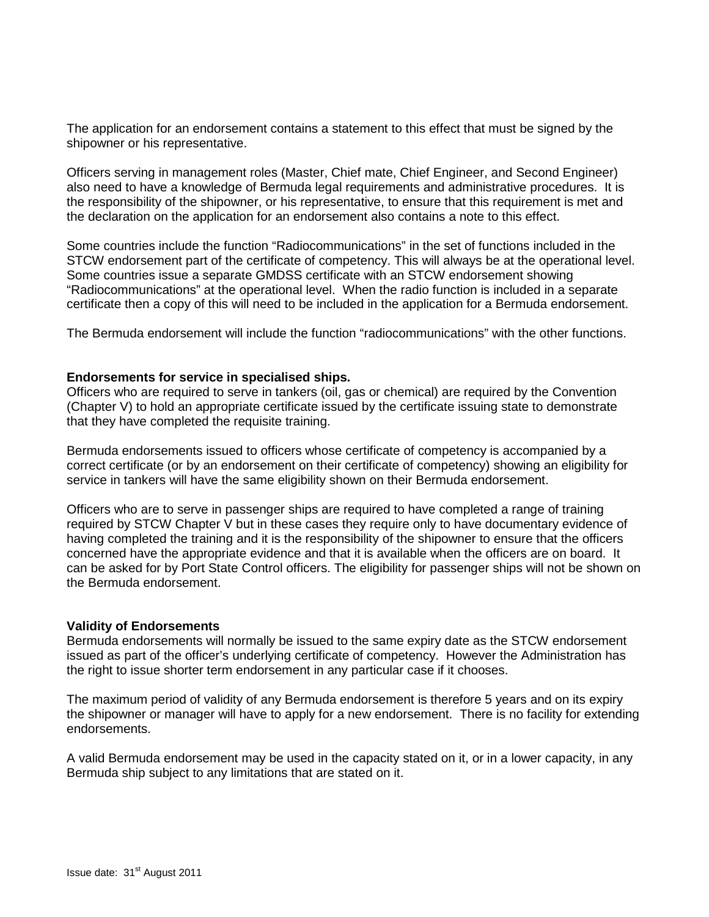The application for an endorsement contains a statement to this effect that must be signed by the shipowner or his representative.

Officers serving in management roles (Master, Chief mate, Chief Engineer, and Second Engineer) also need to have a knowledge of Bermuda legal requirements and administrative procedures. It is the responsibility of the shipowner, or his representative, to ensure that this requirement is met and the declaration on the application for an endorsement also contains a note to this effect.

Some countries include the function "Radiocommunications" in the set of functions included in the STCW endorsement part of the certificate of competency. This will always be at the operational level. Some countries issue a separate GMDSS certificate with an STCW endorsement showing "Radiocommunications" at the operational level. When the radio function is included in a separate certificate then a copy of this will need to be included in the application for a Bermuda endorsement.

The Bermuda endorsement will include the function "radiocommunications" with the other functions.

#### **Endorsements for service in specialised ships.**

Officers who are required to serve in tankers (oil, gas or chemical) are required by the Convention (Chapter V) to hold an appropriate certificate issued by the certificate issuing state to demonstrate that they have completed the requisite training.

Bermuda endorsements issued to officers whose certificate of competency is accompanied by a correct certificate (or by an endorsement on their certificate of competency) showing an eligibility for service in tankers will have the same eligibility shown on their Bermuda endorsement.

Officers who are to serve in passenger ships are required to have completed a range of training required by STCW Chapter V but in these cases they require only to have documentary evidence of having completed the training and it is the responsibility of the shipowner to ensure that the officers concerned have the appropriate evidence and that it is available when the officers are on board. It can be asked for by Port State Control officers. The eligibility for passenger ships will not be shown on the Bermuda endorsement.

#### **Validity of Endorsements**

Bermuda endorsements will normally be issued to the same expiry date as the STCW endorsement issued as part of the officer's underlying certificate of competency. However the Administration has the right to issue shorter term endorsement in any particular case if it chooses.

The maximum period of validity of any Bermuda endorsement is therefore 5 years and on its expiry the shipowner or manager will have to apply for a new endorsement. There is no facility for extending endorsements.

A valid Bermuda endorsement may be used in the capacity stated on it, or in a lower capacity, in any Bermuda ship subject to any limitations that are stated on it.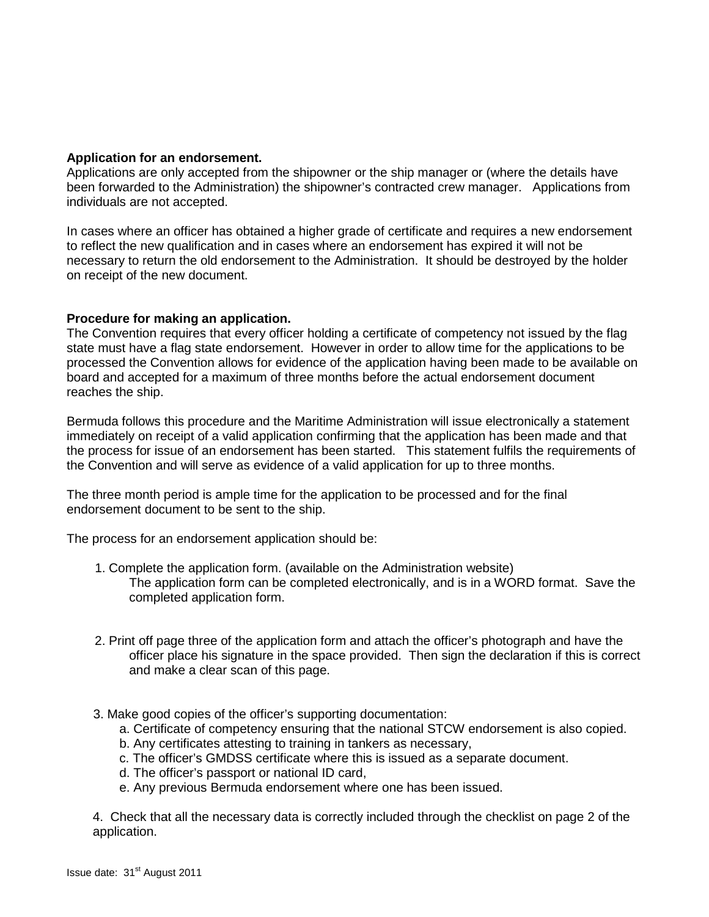# **Application for an endorsement.**

Applications are only accepted from the shipowner or the ship manager or (where the details have been forwarded to the Administration) the shipowner's contracted crew manager. Applications from individuals are not accepted.

In cases where an officer has obtained a higher grade of certificate and requires a new endorsement to reflect the new qualification and in cases where an endorsement has expired it will not be necessary to return the old endorsement to the Administration. It should be destroyed by the holder on receipt of the new document.

# **Procedure for making an application.**

The Convention requires that every officer holding a certificate of competency not issued by the flag state must have a flag state endorsement. However in order to allow time for the applications to be processed the Convention allows for evidence of the application having been made to be available on board and accepted for a maximum of three months before the actual endorsement document reaches the ship.

Bermuda follows this procedure and the Maritime Administration will issue electronically a statement immediately on receipt of a valid application confirming that the application has been made and that the process for issue of an endorsement has been started. This statement fulfils the requirements of the Convention and will serve as evidence of a valid application for up to three months.

The three month period is ample time for the application to be processed and for the final endorsement document to be sent to the ship.

The process for an endorsement application should be:

- 1. Complete the application form. (available on the Administration website) The application form can be completed electronically, and is in a WORD format. Save the completed application form.
- 2. Print off page three of the application form and attach the officer's photograph and have the officer place his signature in the space provided. Then sign the declaration if this is correct and make a clear scan of this page.
- 3. Make good copies of the officer's supporting documentation:
	- a. Certificate of competency ensuring that the national STCW endorsement is also copied.
	- b. Any certificates attesting to training in tankers as necessary,
	- c. The officer's GMDSS certificate where this is issued as a separate document.
	- d. The officer's passport or national ID card,
	- e. Any previous Bermuda endorsement where one has been issued.

4. Check that all the necessary data is correctly included through the checklist on page 2 of the application.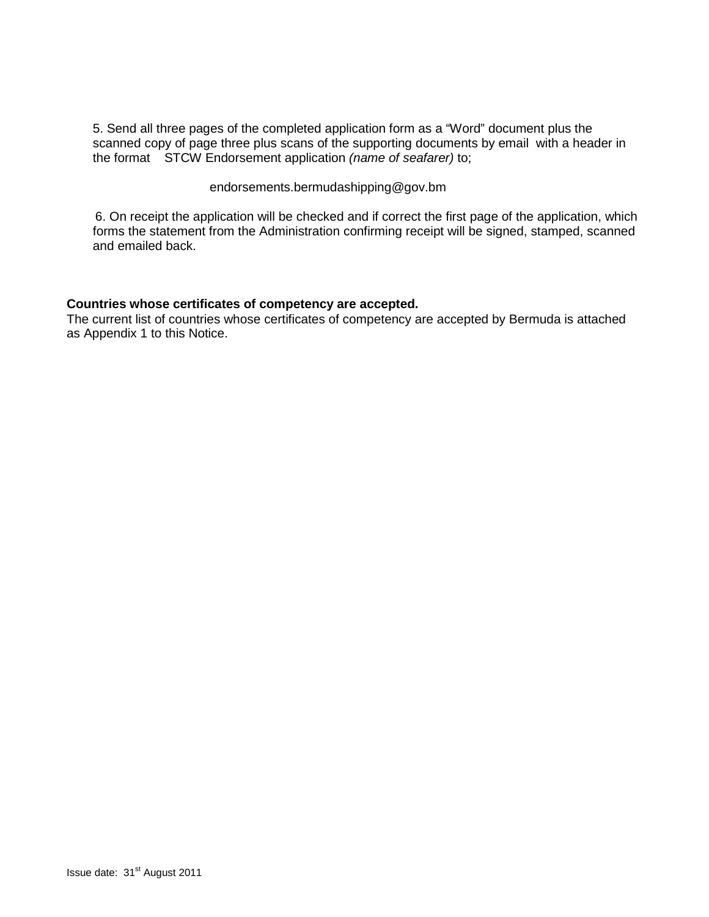5. Send all three pages of the completed application form as a "Word" document plus the scanned copy of page three plus scans of the supporting documents by email with a header in the format STCW Endorsement application *(name of seafarer)* to;

endorsements.bermudashipping@gov.bm

6. On receipt the application will be checked and if correct the first page of the application, which forms the statement from the Administration confirming receipt will be signed, stamped, scanned and emailed back.

# **Countries whose certificates of competency are accepted.**

The current list of countries whose certificates of competency are accepted by Bermuda is attached as Appendix 1 to this Notice.